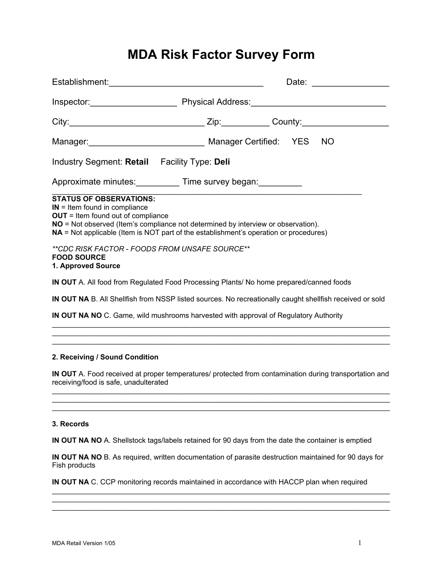# **MDA Risk Factor Survey Form**

|                                                                                                                                                                                                                                                                                                            | Inspector: Physical Address: National Address: National Address: National Address: National Address: National Address: National Address: National Address: National Address: National Address: National Address: National Addr |
|------------------------------------------------------------------------------------------------------------------------------------------------------------------------------------------------------------------------------------------------------------------------------------------------------------|--------------------------------------------------------------------------------------------------------------------------------------------------------------------------------------------------------------------------------|
|                                                                                                                                                                                                                                                                                                            |                                                                                                                                                                                                                                |
| Manager: Manager Certified: YES NO                                                                                                                                                                                                                                                                         |                                                                                                                                                                                                                                |
| Industry Segment: Retail Facility Type: Deli                                                                                                                                                                                                                                                               |                                                                                                                                                                                                                                |
| Approximate minutes: Time survey began: Network Chapter                                                                                                                                                                                                                                                    |                                                                                                                                                                                                                                |
| <b>STATUS OF OBSERVATIONS:</b><br>$IN =$ Item found in compliance<br><b>OUT</b> = Item found out of compliance<br><b>NO</b> = Not observed (Item's compliance not determined by interview or observation).<br><b>NA</b> = Not applicable (Item is NOT part of the establishment's operation or procedures) |                                                                                                                                                                                                                                |
| **CDC RISK FACTOR - FOODS FROM UNSAFE SOURCE**<br><b>FOOD SOURCE</b><br>1. Approved Source                                                                                                                                                                                                                 |                                                                                                                                                                                                                                |
| IN OUT A. All food from Regulated Food Processing Plants/ No home prepared/canned foods                                                                                                                                                                                                                    |                                                                                                                                                                                                                                |
| IN OUT NA B. All Shellfish from NSSP listed sources. No recreationally caught shellfish received or sold                                                                                                                                                                                                   |                                                                                                                                                                                                                                |
| IN OUT NA NO C. Game, wild mushrooms harvested with approval of Regulatory Authority                                                                                                                                                                                                                       |                                                                                                                                                                                                                                |

#### **2. Receiving / Sound Condition**

**IN OUT** A. Food received at proper temperatures/ protected from contamination during transportation and receiving/food is safe, unadulterated  $\_$  , and the set of the set of the set of the set of the set of the set of the set of the set of the set of the set of the set of the set of the set of the set of the set of the set of the set of the set of the set of th

 $\_$  , and the set of the set of the set of the set of the set of the set of the set of the set of the set of the set of the set of the set of the set of the set of the set of the set of the set of the set of the set of th  $\mathcal{L}_\text{max}$  , and the contribution of the contribution of the contribution of the contribution of the contribution of the contribution of the contribution of the contribution of the contribution of the contribution of t

 $\mathcal{L}_\text{max}$  , and the contribution of the contribution of the contribution of the contribution of the contribution of the contribution of the contribution of the contribution of the contribution of the contribution of t  $\_$  , and the set of the set of the set of the set of the set of the set of the set of the set of the set of the set of the set of the set of the set of the set of the set of the set of the set of the set of the set of th

#### **3. Records**

**IN OUT NA NO** A. Shellstock tags/labels retained for 90 days from the date the container is emptied

**IN OUT NA NO** B. As required, written documentation of parasite destruction maintained for 90 days for Fish products

 $\_$  , and the set of the set of the set of the set of the set of the set of the set of the set of the set of the set of the set of the set of the set of the set of the set of the set of the set of the set of the set of th

 $\mathcal{L}_\text{max}$  , and the contribution of the contribution of the contribution of the contribution of the contribution of the contribution of the contribution of the contribution of the contribution of the contribution of t

**IN OUT NA** C. CCP monitoring records maintained in accordance with HACCP plan when required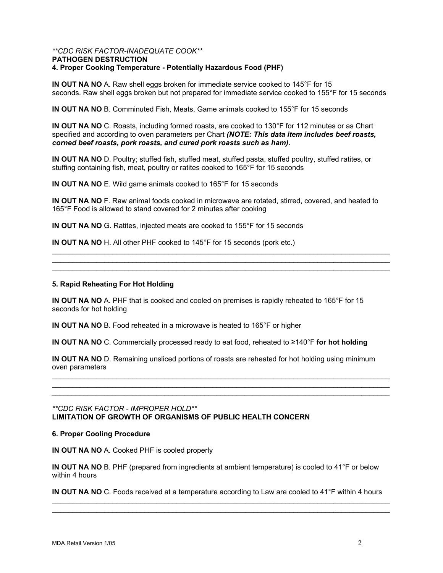## *\*\*CDC RISK FACTOR-INADEQUATE COOK\*\**  **PATHOGEN DESTRUCTION 4. Proper Cooking Temperature - Potentially Hazardous Food (PHF)**

**IN OUT NA NO** A. Raw shell eggs broken for immediate service cooked to 145°F for 15 seconds. Raw shell eggs broken but not prepared for immediate service cooked to 155°F for 15 seconds

**IN OUT NA NO** B. Comminuted Fish, Meats, Game animals cooked to 155°F for 15 seconds

**IN OUT NA NO** C. Roasts, including formed roasts, are cooked to 130°F for 112 minutes or as Chart specified and according to oven parameters per Chart *(NOTE: This data item includes beef roasts, corned beef roasts, pork roasts, and cured pork roasts such as ham).* 

**IN OUT NA NO** D. Poultry; stuffed fish, stuffed meat, stuffed pasta, stuffed poultry, stuffed ratites, or stuffing containing fish, meat, poultry or ratites cooked to 165°F for 15 seconds

**IN OUT NA NO** E. Wild game animals cooked to 165°F for 15 seconds

**IN OUT NA NO** F. Raw animal foods cooked in microwave are rotated, stirred, covered, and heated to 165°F Food is allowed to stand covered for 2 minutes after cooking

 $\_$  , and the set of the set of the set of the set of the set of the set of the set of the set of the set of the set of the set of the set of the set of the set of the set of the set of the set of the set of the set of th  $\_$  , and the set of the set of the set of the set of the set of the set of the set of the set of the set of the set of the set of the set of the set of the set of the set of the set of the set of the set of the set of th  $\mathcal{L}_\text{max}$  , and the contribution of the contribution of the contribution of the contribution of the contribution of the contribution of the contribution of the contribution of the contribution of the contribution of t

**IN OUT NA NO** G. Ratites, injected meats are cooked to 155°F for 15 seconds

**IN OUT NA NO** H. All other PHF cooked to 145°F for 15 seconds (pork etc.)

#### **5. Rapid Reheating For Hot Holding**

**IN OUT NA NO** A. PHF that is cooked and cooled on premises is rapidly reheated to 165°F for 15 seconds for hot holding

**IN OUT NA NO** B. Food reheated in a microwave is heated to 165°F or higher

**IN OUT NA NO** C. Commercially processed ready to eat food, reheated to ≥140°F **for hot holding** 

**IN OUT NA NO** D. Remaining unsliced portions of roasts are reheated for hot holding using minimum oven parameters

 $\_$  , and the set of the set of the set of the set of the set of the set of the set of the set of the set of the set of the set of the set of the set of the set of the set of the set of the set of the set of the set of th \_\_\_\_\_\_\_*\_\_\_\_\_\_\_\_\_\_\_\_\_\_\_\_\_\_\_\_\_\_\_\_\_\_\_\_\_\_\_\_\_\_\_\_\_\_\_\_\_\_\_\_\_\_\_\_\_\_\_\_\_\_\_\_\_\_\_\_\_\_\_\_\_\_\_\_\_\_\_\_\_\_\_\_\_ \_\_\_\_\_\_\_\_\_\_\_\_\_\_\_\_\_\_\_\_\_\_\_\_\_\_\_\_\_\_\_\_\_\_\_\_\_\_\_\_\_\_\_\_\_\_\_\_\_\_\_\_\_\_\_\_\_\_\_\_\_\_\_\_\_\_\_\_\_\_\_\_\_\_\_\_\_\_\_\_\_\_\_\_* 

# *\*\*CDC RISK FACTOR - IMPROPER HOLD\*\**  **LIMITATION OF GROWTH OF ORGANISMS OF PUBLIC HEALTH CONCERN**

# **6. Proper Cooling Procedure**

**IN OUT NA NO** A. Cooked PHF is cooled properly

**IN OUT NA NO** B. PHF (prepared from ingredients at ambient temperature) is cooled to 41°F or below within 4 hours

**IN OUT NA NO** C. Foods received at a temperature according to Law are cooled to 41°F within 4 hours  $\_$  , and the set of the set of the set of the set of the set of the set of the set of the set of the set of the set of the set of the set of the set of the set of the set of the set of the set of the set of the set of th

 $\_$  , and the set of the set of the set of the set of the set of the set of the set of the set of the set of the set of the set of the set of the set of the set of the set of the set of the set of the set of the set of th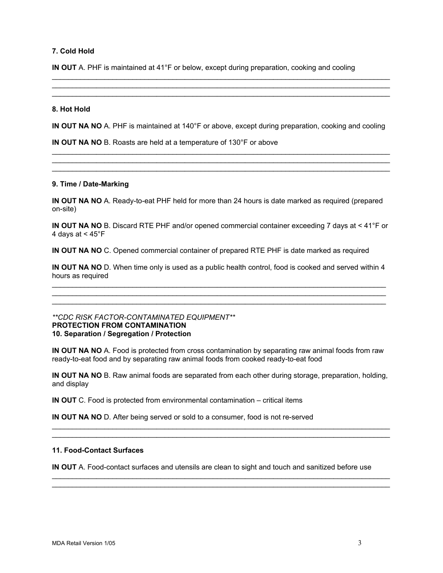## **7. Cold Hold**

**IN OUT** A. PHF is maintained at 41°F or below, except during preparation, cooking and cooling

#### **8. Hot Hold**

**IN OUT NA NO** A. PHF is maintained at 140°F or above, except during preparation, cooking and cooling

 $\_$  , and the set of the set of the set of the set of the set of the set of the set of the set of the set of the set of the set of the set of the set of the set of the set of the set of the set of the set of the set of th  $\_$  , and the set of the set of the set of the set of the set of the set of the set of the set of the set of the set of the set of the set of the set of the set of the set of the set of the set of the set of the set of th  $\mathcal{L}_\text{max}$  , and the contribution of the contribution of the contribution of the contribution of the contribution of the contribution of the contribution of the contribution of the contribution of the contribution of t

 $\_$  , and the set of the set of the set of the set of the set of the set of the set of the set of the set of the set of the set of the set of the set of the set of the set of the set of the set of the set of the set of th  $\_$  , and the set of the set of the set of the set of the set of the set of the set of the set of the set of the set of the set of the set of the set of the set of the set of the set of the set of the set of the set of th  $\mathcal{L}_\text{max}$  , and the contribution of the contribution of the contribution of the contribution of the contribution of the contribution of the contribution of the contribution of the contribution of the contribution of t

**IN OUT NA NO** B. Roasts are held at a temperature of 130°F or above

#### **9. Time / Date-Marking**

**IN OUT NA NO** A. Ready-to-eat PHF held for more than 24 hours is date marked as required (prepared on-site)

**IN OUT NA NO** B. Discard RTE PHF and/or opened commercial container exceeding 7 days at < 41°F or 4 days at < 45°F

**IN OUT NA NO** C. Opened commercial container of prepared RTE PHF is date marked as required

**IN OUT NA NO** D. When time only is used as a public health control, food is cooked and served within 4 hours as required  $\mathcal{L}_\mathcal{L} = \{ \mathcal{L}_\mathcal{L} = \{ \mathcal{L}_\mathcal{L} = \{ \mathcal{L}_\mathcal{L} = \{ \mathcal{L}_\mathcal{L} = \{ \mathcal{L}_\mathcal{L} = \{ \mathcal{L}_\mathcal{L} = \{ \mathcal{L}_\mathcal{L} = \{ \mathcal{L}_\mathcal{L} = \{ \mathcal{L}_\mathcal{L} = \{ \mathcal{L}_\mathcal{L} = \{ \mathcal{L}_\mathcal{L} = \{ \mathcal{L}_\mathcal{L} = \{ \mathcal{L}_\mathcal{L} = \{ \mathcal{L}_\mathcal{$ 

 $\mathcal{L}_\text{max}$  , and the set of the set of the set of the set of the set of the set of the set of the set of the set of the set of the set of the set of the set of the set of the set of the set of the set of the set of the  $\mathcal{L}_\mathcal{L} = \{ \mathcal{L}_\mathcal{L} = \{ \mathcal{L}_\mathcal{L} = \{ \mathcal{L}_\mathcal{L} = \{ \mathcal{L}_\mathcal{L} = \{ \mathcal{L}_\mathcal{L} = \{ \mathcal{L}_\mathcal{L} = \{ \mathcal{L}_\mathcal{L} = \{ \mathcal{L}_\mathcal{L} = \{ \mathcal{L}_\mathcal{L} = \{ \mathcal{L}_\mathcal{L} = \{ \mathcal{L}_\mathcal{L} = \{ \mathcal{L}_\mathcal{L} = \{ \mathcal{L}_\mathcal{L} = \{ \mathcal{L}_\mathcal{$ 

## *\*\*CDC RISK FACTOR-CONTAMINATED EQUIPMENT\*\**  **PROTECTION FROM CONTAMINATION 10. Separation / Segregation / Protection**

**IN OUT NA NO** A. Food is protected from cross contamination by separating raw animal foods from raw ready-to-eat food and by separating raw animal foods from cooked ready-to-eat food

**IN OUT NA NO** B. Raw animal foods are separated from each other during storage, preparation, holding, and display

 $\_$  , and the set of the set of the set of the set of the set of the set of the set of the set of the set of the set of the set of the set of the set of the set of the set of the set of the set of the set of the set of th  $\_$  , and the set of the set of the set of the set of the set of the set of the set of the set of the set of the set of the set of the set of the set of the set of the set of the set of the set of the set of the set of th

 $\_$  , and the set of the set of the set of the set of the set of the set of the set of the set of the set of the set of the set of the set of the set of the set of the set of the set of the set of the set of the set of th  $\_$  , and the set of the set of the set of the set of the set of the set of the set of the set of the set of the set of the set of the set of the set of the set of the set of the set of the set of the set of the set of th

**IN OUT** C. Food is protected from environmental contamination – critical items

**IN OUT NA NO** D. After being served or sold to a consumer, food is not re-served

## **11. Food-Contact Surfaces**

**IN OUT** A. Food-contact surfaces and utensils are clean to sight and touch and sanitized before use